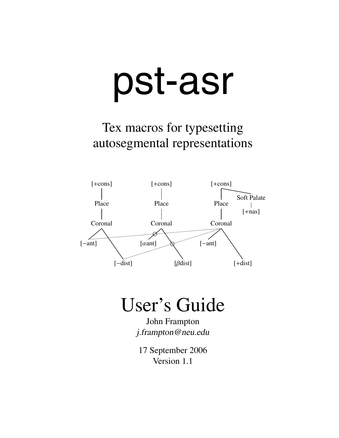# pst-asr

Tex macros for typesetting autosegmental representations



# User's Guide

John Frampton j.frampton@neu.edu

17 September 2006 Version 1.1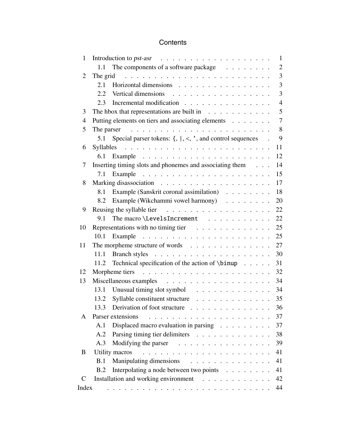# **Contents**

| $\mathbf{1}$   |                                                                                     | $\mathbf{1}$   |
|----------------|-------------------------------------------------------------------------------------|----------------|
|                | The components of a software package<br>1.1                                         | $\overline{c}$ |
| $\overline{2}$ | The grid                                                                            | $\overline{3}$ |
|                | Horizontal dimensions<br>2.1                                                        | 3              |
|                | Vertical dimensions<br>2.2                                                          | 3              |
|                | Incremental modification<br>2.3                                                     | $\overline{4}$ |
| 3              | The hbox that representations are built in $\dots \dots \dots \dots$                | 5              |
| 4              | Putting elements on tiers and associating elements                                  | $\tau$         |
| 5              |                                                                                     | 8              |
|                | Special parser tokens: $\{,  , \lt,, ', \text{ and control sequences } \}$ .<br>5.1 | 9              |
| 6              |                                                                                     | 11             |
|                | 6.1                                                                                 | 12             |
| 7              | Inserting timing slots and phonemes and associating them                            | 14             |
|                | 7.1                                                                                 | 15             |
| 8              |                                                                                     | 17             |
|                | Example (Sanskrit coronal assimilation)<br>8.1                                      | 18             |
|                | Example (Wikchammi vowel harmony)<br>8.2                                            | 20             |
| 9              | Reusing the syllable tier $\ldots \ldots \ldots \ldots \ldots \ldots$               | 22             |
|                | The macro \LevelsIncrement<br>9.1                                                   | 22             |
| 10             | Representations with no timing tier $\ldots \ldots \ldots \ldots$                   | 25             |
|                |                                                                                     | 25             |
| 11             | The morpheme structure of words                                                     | 27             |
|                | 11.1                                                                                | 30             |
|                | Technical specification of the action of $\binom{n}{1}$<br>11.2                     | 31             |
| 12             |                                                                                     | 32             |
| 13             |                                                                                     | 34             |
|                | 13.1                                                                                | 34             |
|                | Syllable constituent structure<br>13.2                                              | 35             |
|                | Derivation of foot structure<br>13.3                                                | 36             |
| A              | Parser extensions                                                                   | 37             |
|                | Displaced macro evaluation in parsing $\ldots$ ,<br>A.1                             | 37             |
|                | Parsing timing tier delimiters<br>A.2                                               | 38             |
|                | Modifying the parser<br>A.3                                                         | 39             |
| B              | Utility macros                                                                      | 41             |
|                | Manipulating dimensions<br>.<br>B.1                                                 | 41             |
|                | Interpolating a node between two points<br>B.2                                      | 41             |
| $\mathsf{C}$   | Installation and working environment                                                | 42             |
| Index          |                                                                                     | 44             |
|                |                                                                                     |                |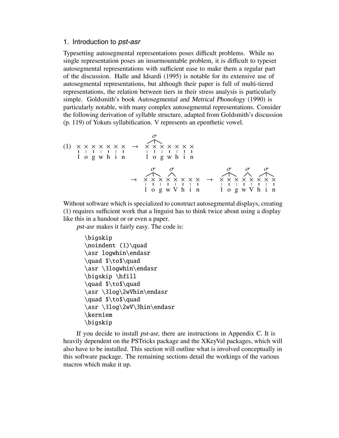#### 1. Introduction to pst-asr

Typesetting autosegmental representations poses difficult problems. While no single representation poses an insurmountable problem, it is difficult to typeset autosegmental representations with sufficient ease to make them a regular part of the discussion. Halle and Idsardi (1995) is notable for its extensive use of autosegmental representations, but although their paper is full of multi-tiered representations, the relation between tiers in their stress analysis is particularly simple. Goldsmith's book Autosegmental and Metrical Phonology (1990) is particularly notable, with many complex autosegmental representations. Consider the following derivation of syllable structure, adapted from Goldsmith's discussion (p. 119) of Yokuts syllabification. V represents an epenthetic vowel.

(1) l × o × g × w × h × i × n × → σ l × o × g × w × h × i × n × → σ l × o × g × σ w × V × h × i × n × → σ l × o × g × σ w × V × σ h × i × n ×

Without software which is specialized to construct autosegmental displays, creating (1) requires sufficient work that a linguist has to think twice about using a display like this in a handout or or even a paper.

pst-asr makes it fairly easy. The code is:

```
\bigskip
\noindent (1)\quad
\asr logwhin\endasr
\quad $\to$\quad
\asr \3logwhin\endasr
\bigskip \hfill
\quad $\to$\quad
\asr \3log\2wVhin\endasr
\quad $\to$\quad
\asr \3log\2wV\3hin\endasr
\kern1em
\bigskip
```
If you decide to install pst-asr, there are instructions in Appendix C. It is heavily dependent on the PSTricks package and the XKeyVal packages, which will also have to be installed. This section will outline what is involved conceptually in this software package. The remaining sections detail the workings of the various macros which make it up.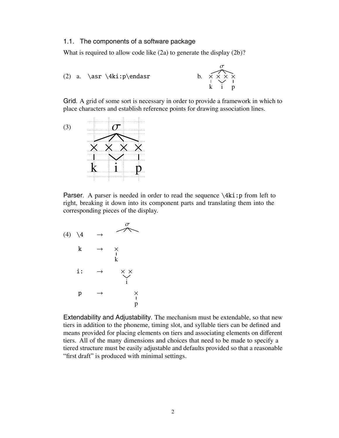#### 1.1. The components of a software package

What is required to allow code like (2a) to generate the display (2b)?

(2) a.  $\asr \Aki: p\endasr$ 

σ k  $\frac{\mathsf{x}}{\mathsf{I}}$ i × × p  $\frac{\mathsf{x}}{\mathsf{I}}$ 

Grid. A grid of some sort is necessary in order to provide a framework in which to place characters and establish reference points for drawing association lines.



**Parser.** A parser is needed in order to read the sequence  $\lambda$ ki: p from left to right, breaking it down into its component parts and translating them into the corresponding pieces of the display.

 $(4) \ \ \sqrt{4}$ σ  $\bf k$ k  $\frac{\mathsf{x}}{\mathsf{y}}$ i: → i × ×  $p$  $\mathbf{p}$  $\lambda$ 

Extendability and Adjustability. The mechanism must be extendable, so that new tiers in addition to the phoneme, timing slot, and syllable tiers can be defined and means provided for placing elements on tiers and associating elements on different tiers. All of the many dimensions and choices that need to be made to specify a tiered structure must be easily adjustable and defaults provided so that a reasonable "first draft" is produced with minimal settings.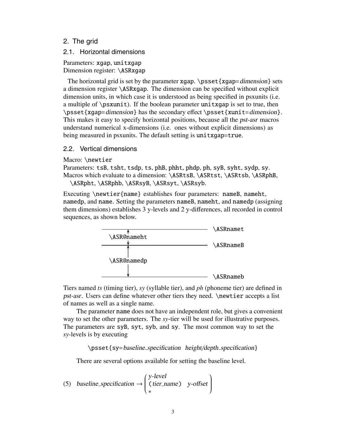# 2. The grid

# 2.1. Horizontal dimensions

Parameters: xgap, unitxgap Dimension register: \ASRxgap

The horizontal grid is set by the parameter xgap.  $\psset{xgap=dimension}$  sets a dimension register \ASRxgap. The dimension can be specified without explicit dimension units, in which case it is understood as being specified in psxunits (i.e. a multiple of  $\sigma$ . If the boolean parameter uniting is set to true, then \psset{xgap=dimension} has the secondary effect \psset{xunit=dimension}. This makes it easy to specify horizontal positions, because all the pst-asr macros understand numerical x-dimensions (i.e. ones without explicit dimensions) as being measured in psxunits. The default setting is unitxgap=true.

# 2.2. Vertical dimensions

Macro: \newtier

Parameters: tsB, tsht, tsdp, ts, phB, phht, phdp, ph, syB, syht, sydp, sy. Macros which evaluate to a dimension: \ASRtsB, \ASRtst, \ASRtsb, \ASRphB,

\ASRpht, \ASRphb, \ASRsyB, \ASRsyt, \ASRsyb.

Executing \newtier{name} establishes four parameters: nameB, nameht, namedp, and name. Setting the parameters nameB, nameht, and namedp (assigning them dimensions) establishes 3 y-levels and 2 y-differences, all recorded in control sequences, as shown below.



Tiers named *ts* (timing tier), *sy* (syllable tier), and *ph* (phoneme tier) are defined in pst-asr. Users can define whatever other tiers they need. \newtier accepts a list of names as well as a single name.

The parameter name does not have an independent role, but gives a convenient way to set the other parameters. The *sy*-tier will be used for illustrative purposes. The parameters are syB, syt, syb, and sy. The most common way to set the *sy*-levels is by executing

\psset{sy=baseline specification height/depth specification}

There are several options available for setting the baseline level.

(5) baseline-specification 
$$
\rightarrow
$$
  $\begin{pmatrix} y\text{-level} \\ (tier_name) \\ * \end{pmatrix}$  y-offset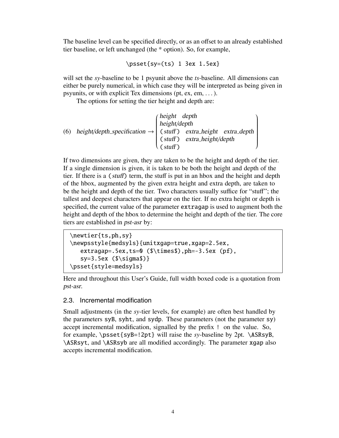The baseline level can be specified directly, or as an offset to an already established tier baseline, or left unchanged (the \* option). So, for example,

```
\psset{sy=(ts) 1 3ex 1.5ex}
```
will set the *sy*-baseline to be 1 psyunit above the *ts*-baseline. All dimensions can either be purely numerical, in which case they will be interpreted as being given in psyunits, or with explicit Tex dimensions (pt, ex, em, ... ).

The options for setting the tier height and depth are:

(6) height/depth-specification 
$$
\rightarrow
$$
   
\n
$$
\begin{pmatrix}\n\text{height/depth} \\
\text{height/depth} \\
\text{c stuff}\n\end{pmatrix}\next{r}_\text{extra height/depth}
$$
\n
$$
\begin{pmatrix}\n\text{height/depth} \\
\text{extra height/depth} \\
\text{c stuff}\n\end{pmatrix}
$$

If two dimensions are given, they are taken to be the height and depth of the tier. If a single dimension is given, it is taken to be both the height and depth of the tier. If there is a (stuff) term, the stuff is put in an hbox and the height and depth of the hbox, augmented by the given extra height and extra depth, are taken to be the height and depth of the tier. Two characters usually suffice for "stuff"; the tallest and deepest characters that appear on the tier. If no extra height or depth is specified, the current value of the parameter extragap is used to augment both the height and depth of the hbox to determine the height and depth of the tier. The core tiers are established in pst-asr by:

```
\newtier{ts,ph,sy}
\newpsstyle{medsyls}{unitxgap=true,xgap=2.5ex,
   extragap=.5ex,ts=0 ($\times$),ph=-3.5ex (pf),
   sy=3.5ex ($\sigma$)}
\psset{style=medsyls}
```
Here and throughout this User's Guide, full width boxed code is a quotation from pst-asr.

# 2.3. Incremental modification

Small adjustments (in the *sy*-tier levels, for example) are often best handled by the parameters syB, syht, and sydp. These parameters (not the parameter sy) accept incremental modification, signalled by the prefix ! on the value. So, for example, \psset{syB=!2pt} will raise the *sy*-baseline by 2pt. \ASRsyB, \ASRsyt, and \ASRsyb are all modified accordingly. The parameter xgap also accepts incremental modification.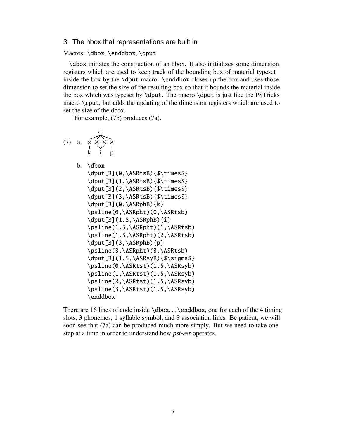#### 3. The hbox that representations are built in

Macros: \dbox, \enddbox, \dput

\dbox initiates the construction of an hbox. It also initializes some dimension registers which are used to keep track of the bounding box of material typeset inside the box by the  $\dot{$  macro.  $\end{$  enddbox closes up the box and uses those dimension to set the size of the resulting box so that it bounds the material inside the box which was typeset by  $\dot{\theta}$ . The macro  $\dot{\theta}$  is just like the PSTricks macro \rput, but adds the updating of the dimension registers which are used to set the size of the dbox.

For example, (7b) produces (7a).

\n
$$
\sigma
$$
  
\n $\rightarrow$   
\n $\star$   
\n $\star$   
\n $\star$   
\n $\downarrow$  p  
\nb. \dbox \dput [B] (1, \ASRtsB) {\$\times\$}\n\ndput [B] (2, \ASRtsB) {\$\times\$}\n\ndput [B] (3, \ASRtsB) {\$\times\$}\n\ndput [B] (0, \ASRphB) {k}\n\psline(0, \ASRpht) (0, \ASRtsb) \dput [B] (1.5, \ASRpht) (1, \ASRtsb) \n\psline(1.5, \ASRpht) (2, \ASRtsb) \dput [B] (3, \ASRpht) (3, \ASRtsb) \dput [B] (1.5, \ASRsht) (3, \ASRtsb) \dput [B] (1.5, \ASRspB) {\$\times\$jgma\$}\npsline(0, \ASRtst) (1.5, \ASRsyb) \n\psline(1, \ASRtst) (1.5, \ASRsyb) \n\psline(2, \ASRtst) (1.5, \ASRsyb) \n\psline(3, \ASRtst) (1.5, \ASRsyb) \n\end{\n

There are 16 lines of code inside \dbox... \enddbox, one for each of the 4 timing slots, 3 phonemes, 1 syllable symbol, and 8 association lines. Be patient, we will soon see that (7a) can be produced much more simply. But we need to take one step at a time in order to understand how pst-asr operates.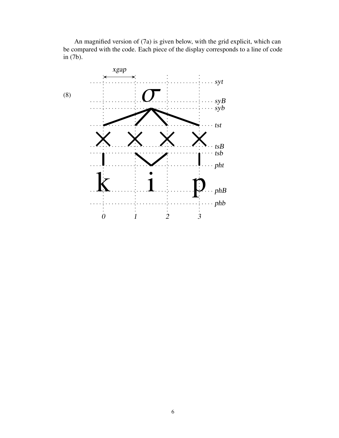An magnified version of (7a) is given below, with the grid explicit, which can be compared with the code. Each piece of the display corresponds to a line of code in (7b).

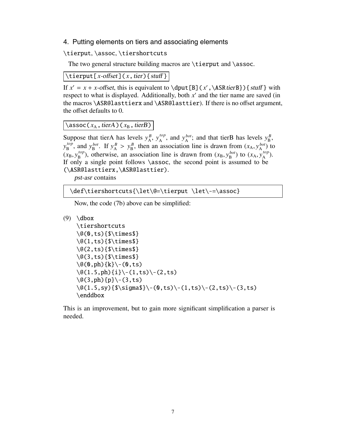#### 4. Putting elements on tiers and associating elements

\tierput, \assoc, \tiershortcuts

The two general structure building macros are \tierput and \assoc.

 $\left[ \times \text{offset} \right](x,\text{tier})\$ 

If  $x' = x + x$ -offset, this is equivalent to \dput [B](x', \ASRtierB}) { stuff } with respect to what is displayed. Additionally, both  $x'$  and the tier name are saved (in the macros \ASR@lasttierx and \ASR@lasttier). If there is no offset argument, the offset defaults to 0.

 $\lambda$ ssoc( $x_A$ , tierA)( $x_B$ , tierB)

Suppose that tierA has levels  $y_A^B$ ,  $y_A^{top}$ , and  $y_A^{bot}$ ; and that tierB has levels  $y_B^B$ ,  $y_B^{top}$ , and  $y_B^{bot}$ . If  $y_A^B > y_B^B$ , then an association line is drawn from  $(x_A, y_A^{bot})$  to  $(x_B, y_B^{top})$ , otherwise, an association line is drawn from  $(x_B, y_B^{bot})$  to  $(x_A, y_A^{top})$ . If only a single point follows  $\lambda$ ssoc, the second point is assumed to be (\ASR@lasttierx,\ASR@lasttier).

pst-asr contains

\def\tiershortcuts{\let\@=\tierput \let\-=\assoc}

Now, the code (7b) above can be simplified:

```
(9) \backslashdbox
```

```
\tiershortcuts
\@(0,ts){$\times$}
\@(1,ts){$\times$}
\@(2,ts){$\times$}
\@(3,ts){$\times$}
\qquad (0, ph) {k} \ - (0, ts)
\{(1.5,ph)\{i\}(- (1,ts) (- (2,ts))\}\qquad(3,ph)\{p\}\(-3,ts)\@(1.5,sy){$\sigma$}\-(0,ts)\-(1,ts)\-(2,ts)\-(3,ts)
\enddbox
```
This is an improvement, but to gain more significant simplification a parser is needed.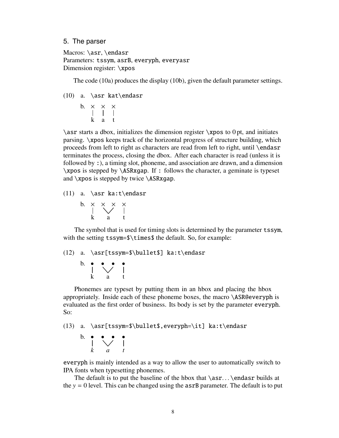#### 5. The parser

Macros: \asr, \endasr Parameters: tssym, asrB, everyph, everyasr Dimension register: \xpos

The code (10a) produces the display (10b), given the default parameter settings.

- (10) a. \asr kat\endasr
	- b. k  $\frac{\times}{\cdot}$ a  $\frac{\mathsf{x}}{\mathsf{I}}$ t  $\frac{\mathsf{x}}{\mathsf{I}}$

 $\a$  starts a dbox, initializes the dimension register  $\x$ pos to 0 pt, and initiates parsing. \xpos keeps track of the horizontal progress of structure building, which proceeds from left to right as characters are read from left to right, until \endasr terminates the process, closing the dbox. After each character is read (unless it is followed by :), a timing slot, phoneme, and association are drawn, and a dimension \xpos is stepped by \ASRxgap. If : follows the character, a geminate is typeset and \xpos is stepped by twice \ASRxgap.

(11) a. \asr ka:t\endasr

b. k  $\frac{\times}{\cdot}$ a × × t  $\frac{\mathsf{x}}{\mathsf{y}}$ 

The symbol that is used for timing slots is determined by the parameter tssym, with the setting tssym= $\times$ times\$ the default. So, for example:

#### (12) a. \asr[tssym=\$\bullet\$] ka:t\endasr

b. k • a  $\ddot{\phantom{0}}$ t •

Phonemes are typeset by putting them in an hbox and placing the hbox appropriately. Inside each of these phoneme boxes, the macro \ASR@everyph is evaluated as the first order of business. Its body is set by the parameter everyph. So:

(13) a. \asr[tssym=\$\bullet\$,everyph=\it] ka:t\endasr

b. *k* • *a*  $\ddot{\phantom{0}}$ *t* •

everyph is mainly intended as a way to allow the user to automatically switch to IPA fonts when typesetting phonemes.

The default is to put the baseline of the hbox that  $\arcsin$ ...  $\end{as}$  builds at the  $y = 0$  level. This can be changed using the  $\alpha$ srB parameter. The default is to put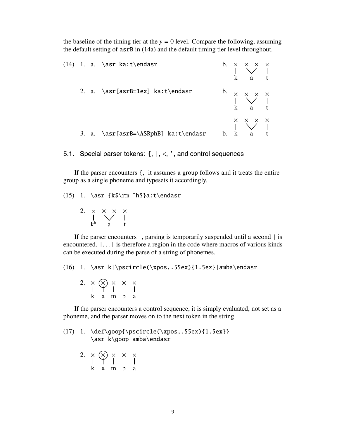the baseline of the timing tier at the  $y = 0$  level. Compare the following, assuming the default setting of asrB in (14a) and the default timing tier level throughout.

|  | $(14)$ 1. a. \asr ka:t\endasr        |  | $\begin{array}{ccccc} b. & \times & \times & \times & \times \\ &   & \vee & &   \\ & k & a & t \end{array}$                     |  |
|--|--------------------------------------|--|----------------------------------------------------------------------------------------------------------------------------------|--|
|  | 2. a. $\asr[asrB=1ex] ka:t\endasr$   |  | b. $\times$ $\times$ $\times$ $\times$<br>$\times$ $\times$ $\times$<br>$\times$ $\times$ $\times$<br>$\times$ $\times$ $\times$ |  |
|  | 3. a. \asr[asrB=\ASRphB] ka:t\endasr |  | $\begin{array}{c ccc}\n & \times & \times & \times & \times \\  & & \downarrow & & \downarrow \\ b. & k & a & t\n\end{array}$    |  |

5.1. Special parser tokens:  $\{, |, \leq, \cdot \}$ , and control sequences

If the parser encounters {, it assumes a group follows and it treats the entire group as a single phoneme and typesets it accordingly.

(15) 1. \asr {k\$\rm ˆh\$}a:t\endasr

2.  $k<sup>h</sup>$  $\frac{\mathsf{x}}{\mathsf{I}}$ a × × t ×<br>>

If the parser encounters |, parsing is temporarily suspended until a second | is encountered. |... | is therefore a region in the code where macros of various kinds can be executed during the parse of a string of phonemes.

(16) 1. \asr k|\pscircle(\xpos,.55ex){1.5ex}|amba\endasr

2. k  $\frac{\times}{\cdot}$ a × m  $\frac{\times}{\cdot}$ b  $\frac{\mathsf{x}}{\mathsf{I}}$ a  $\frac{\mathsf{x}}{\mathsf{y}}$ 

If the parser encounters a control sequence, it is simply evaluated, not set as a phoneme, and the parser moves on to the next token in the string.

(17) 1. \def\goop{\pscircle(\xpos,.55ex){1.5ex}} \asr k\goop amba\endasr

> 2. k  $\frac{\times}{\cdot}$ a × m  $\frac{\times}{1}$ b  $\frac{\mathsf{x}}{\mathsf{I}}$ a  $\frac{\mathsf{x}}{\mathsf{I}}$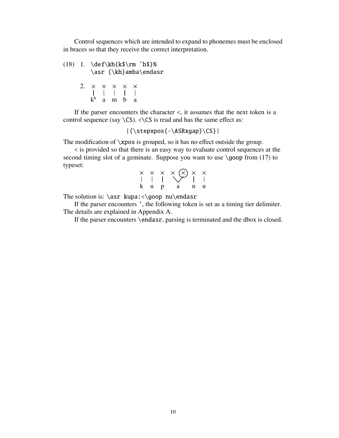Control sequences which are intended to expand to phonemes must be enclosed in braces so that they receive the correct interpretation.

(18) 1. \def\kh{k\$\rm ˆh\$}% \asr {\kh}amba\endasr 2.  $k<sup>h</sup>$  $\frac{\mathsf{x}}{\mathsf{I}}$ a  $\frac{\mathsf{x}}{\mathsf{I}}$ m  $\frac{\mathsf{x}}{\mathsf{I}}$ b ×<br>ٽ a  $\frac{\mathsf{x}}{\mathsf{I}}$ 

If the parser encounters the character <, it assumes that the next token is a control sequence (say  $\setminus$ CS).  $\lt\setminus$ CS is read and has the same effect as:

|{\stepxpos{-\ASRxgap}\CS}|

The modification of \xpos is grouped, so it has no effect outside the group.

< is provided so that there is an easy way to evaluate control sequences at the second timing slot of a geminate. Suppose you want to use  $\qquad$ goop from (17) to typeset:

|           | $\begin{array}{ccc} \times & \times & \times & \times \\ \vert & \vert & \vert & \end{array}$ |     |
|-----------|-----------------------------------------------------------------------------------------------|-----|
| $k$ u $p$ | $\mathbf{a}$                                                                                  | n u |

The solution is:  $\ar kupa: <\g{good nu\end{asr}$ 

If the parser encounters ', the following token is set as a timing tier delimiter. The details are explained in Appendix A.

If the parser encounters \endasr, parsing is terminated and the dbox is closed.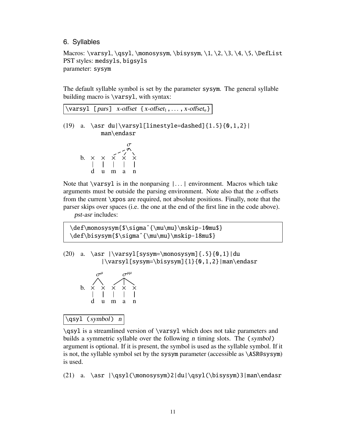# 6. Syllables

Macros: \varsyl, \qsyl, \monosysym, \bisysym, \1, \2, \3, \4, \5, \DefList PST styles: medsyls, bigsyls parameter: sysym

The default syllable symbol is set by the parameter sysym. The general syllable building macro is \varsyl, with syntax:



pst-asr includes:

\def\monosysym{\$\sigmaˆ{\mu\mu}\mskip-10mu\$} \def\bisysym{\$\sigmaˆ{\mu\mu}\mskip-18mu\$}

 $(20)$  a.  $\asr \|\varsigma\| \ssym=\monosysym]{-.5}{0,1}|du$ |\varsyl[sysym=\bisysym]{1}{0,1,2}|man\endasr



 $\qquadsqrt{c}$  (symbol) n

\qsyl is a streamlined version of \varsyl which does not take parameters and builds a symmetric syllable over the following <sup>n</sup> timing slots. The (symbol) argument is optional. If it is present, the symbol is used as the syllable symbol. If it is not, the syllable symbol set by the sysym parameter (accessible as \ASR@sysym) is used.

(21) a. \asr |\qsyl(\monosysym)2|du|\qsyl(\bisysym)3|man\endasr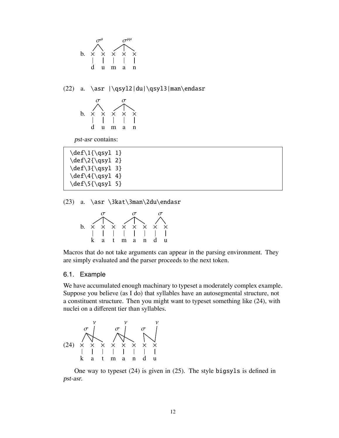

(22) a. \asr |\qsyl2|du|\qsyl3|man\endasr



pst-asr contains:

 $\def\1{\qsgl 1}$  $\def\2{\qsyl 2}$  $\def\{\qsgl 3\}$  $\def\{\qsyl 4\}$  $\def{\g{}g\ngyl 5}$ 

(23) a. \asr \3kat\3man\2du\endasr



Macros that do not take arguments can appear in the parsing environment. They are simply evaluated and the parser proceeds to the next token.

#### 6.1. Example

We have accumulated enough machinary to typeset a moderately complex example. Suppose you believe (as I do) that syllables have an autosegmental structure, not a constituent structure. Then you might want to typeset something like (24), with nuclei on a different tier than syllables.



One way to typeset (24) is given in (25). The style bigsyls is defined in pst-asr.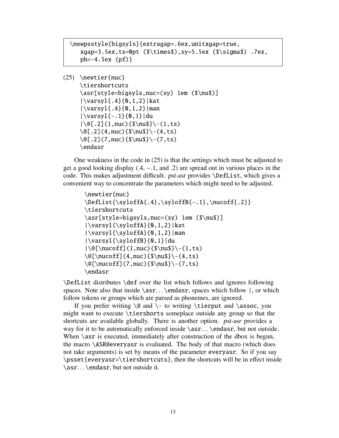```
\newpsstyle{bigsyls}{extragap=.6ex,unitxgap=true,
   xgap=3.5ex,ts=0pt ($\times$),sy=5.5ex ($\sigma$) .7ex,
   ph=-4.5ex (pf)}
```

```
(25) \newtier{nuc}
```

```
\tiershortcuts
\asr[style=bigsyls,nuc=(sy) 1em ($\nu$)]
|\varsyl{.4}{0,1,2}|kat
|\ \varepsilon_4\{0,1,2}|man
|\varsyl{-.1}{0,1}|du
|\@[.2](1, \text{succ})\\nu$}\-(1,ts)
\qquad{2}(4, nuc){$\nu$}\-(4,ts)
\@[ .2](7, nuc){$\nu$}\-(7, ts)
\endasr
```
One weakness in the code in (25) is that the settings which must be adjusted to get a good looking display (.4, −.1, and .2) are spread out in various places in the code. This makes adjustment difficult. pst-asr provides \DefList, which gives a convenient way to concentrate the parameters which might need to be adjusted.

```
\newtier{nuc}
\DefList{\syloffA{.4},\syloffB{-.1},\nucoff{.2}}
\tiershortcuts
\asr[style=bigsyls,nuc=(sy) 1em ($\nu$)]
|\varsyl{\syloffA}{0,1,2}|kat
|\varpi{\{\syst[}fA\}{0,1,2}|man
|\varsyl{\syloffB}{0,1}|du
\setminus \setminus \setminus \setminus \setminus \setminus \setminus \setminus \setminus \setminus \setminus \setminus \setminus \setminus \setminus \setminus \setminus \setminus \setminus \setminus \setminus \setminus \setminus \setminus \setminus \setminus \setminus \setminus \setminus \setminus \setminus \setminus \setminus \setminus \setminus \setminus \setminus\@[\\nucoff](4,nuc)(\\nu$\\- (4,ts)\@[\\nucoff](7,nuc)($\nu$\\-(7,ts)\endasr
```
\DefList distributes \def over the list which follows and ignores following spaces. Note also that inside  $\arcsin$ ...  $\end{cases}$  spaces which follow  $\cdot$ , or which follow tokens or groups which are parsed as phonemes, are ignored.

If you prefer writing  $\@{ and } -$  to writing  $\ti$ erput and  $\asc$ ssoc, you might want to execute \tiershorts someplace outside any group so that the shortcuts are available globally. There is another option. pst-asr provides a way for it to be automatically enforced inside  $\arcsin$ ...  $\end{mar}$ , but not outside. When  $\arcsin$  is executed, immediately after construction of the dbox is begun, the macro \ASR@everyasr is evaluated. The body of that macro (which does not take arguments) is set by means of the parameter everyasr. So if you say \psset{everyasr=\tiershortcuts}, then the shortcuts will be in effect inside \asr... \endasr, but not outside it.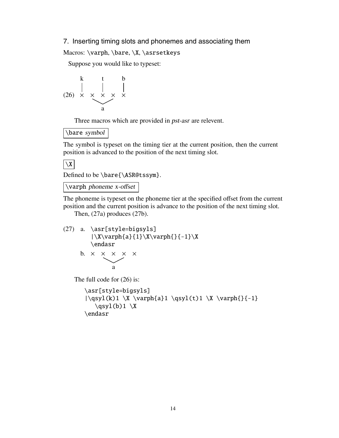#### 7. Inserting timing slots and phonemes and associating them

Macros: \varph, \bare, \X, \asrsetkeys

Suppose you would like to typeset:

$$
\begin{array}{c|cc}\n & k & t & b \\
 & \vert & \vert & \vert \\
(26) & \times & \times & \times & \times \\
 & a & & & \end{array}
$$

Three macros which are provided in pst-asr are relevent.

\bare symbol

The symbol is typeset on the timing tier at the current position, then the current position is advanced to the position of the next timing slot.

# $\vert$  \X  $\vert$

Defined to be \bare{\ASR@tssym}.

# $\sqrt{\sqrt{2}}$

The phoneme is typeset on the phoneme tier at the specified offset from the current position and the current position is advance to the position of the next timing slot.

Then, (27a) produces (27b).

```
(27) a. \asr[style=bigsyls]
           |\X\varphi\{a\} \{1\} \X \varphi\{\} \{-1\} \X\endasr
       b. \times \times \times \times \times
```

```
The full code for (26) is:
```
a

```
\asr[style=bigsyls]
|\qquad\{k\}1 \ X \varphi{a}1 \qquad\{t\}1 \ X \varphi{}{-1}\qquad(b)1 \X\endasr
```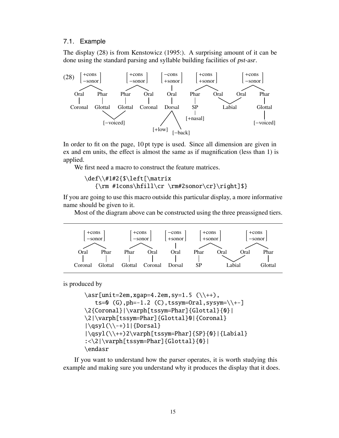#### 7.1. Example

The display (28) is from Kenstowicz (1995:). A surprising amount of it can be done using the standard parsing and syllable building facilities of pst-asr.



In order to fit on the page, 10 pt type is used. Since all dimension are given in ex and em units, the effect is almost the same as if magnification (less than 1) is applied.

We first need a macro to construct the feature matrices.

```
\def\\#1#2{$\left[\matrix
  {\rm #1cons\hfill\cr \rm#2sonor\cr}\right]$}
```
If you are going to use this macro outside this particular display, a more informative name should be given to it.

Most of the diagram above can be constructed using the three preassigned tiers.



is produced by

```
\ar[unit=2em, xgap=4.2em, sy=1.5 (\\\++),ts=0 (G), ph=-1.2 (C), tssym=Oral, sysym=\{\+ -\}\2{Coronal}|\varph[tssym=Phar]{Glottal}{0}|
\2|\varph[tssym=Phar]{Glottal}0|{Coronal}
|\qquad\rangle | \qsyl(\\-+)1|{Dorsal}
|\qquad\rangle|\qsyl(\\++)2\varph[tssym=Phar]{SP}{0}|{Labial}
:<\2|\varph[tssym=Phar]{Glottal}{0}|
\endasr
```
If you want to understand how the parser operates, it is worth studying this example and making sure you understand why it produces the display that it does.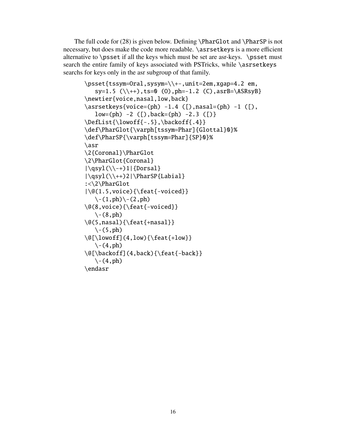The full code for (28) is given below. Defining \PharGlot and \PharSP is not necessary, but does make the code more readable. \asrsetkeys is a more efficient alternative to \psset if all the keys which must be set are asr-keys. \psset must search the entire family of keys associated with PSTricks, while \asrsetkeys searchs for keys only in the asr subgroup of that family.

```
\psset{tssym=Oral,sysym=\\+-,unit=2em,xgap=4.2 em,
   sy=1.5 (\{\+}), ts=0 (0), ph=-1.2 (C), asrB=\ASRsyB}
\newtier{voice,nasal,low,back}
\asrsetkeys{voice=(ph) -1.4 ([),nasal=(ph) -1 ([),
   low=(ph) -2 ([), back=(ph) -2.3 ([)}
\DefList{\lowoff{-.5},\backoff{.4}}
\def\PharGlot{\varph[tssym=Phar]{Glottal}0}%
\def\PharSP{\varph[tssym=Phar]{SP}0}%
\asr
\2{Coronal}\PharGlot
\2\PharGlot{Coronal}
|\qquad\rangle | \qsyl(\\-+)1|{Dorsal}
|\qsyl(\\++)2|\PharSP{Labial}
:<\2\PharGlot
|\@(1.5,voice){\feat{-voiced}}
   \setminus-(1,ph)\setminus-(2,ph)\@(8,voice){\feat{-voiced}}
   \setminus - (8, ph)
\@(5,nasal){\feat{+nasal}}
   \left\langle -\left( 5\right), \text{ph} \right\rangle\Q[\{\lowoff\} (4,low) {\text{feat-low}}\\setminus - (4, ph)
\@[\backoff](4,back){\feat{-back}}
   \setminus-(4,ph)\endasr
```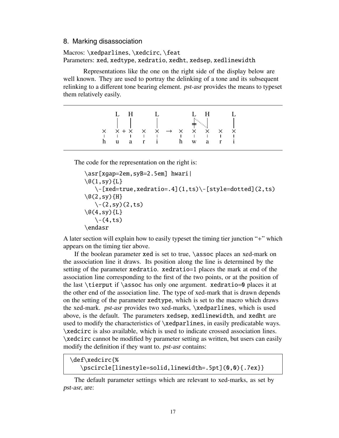#### 8. Marking disassociation

#### Macros: \xedparlines, \xedcirc, \feat Parameters: xed, xedtype, xedratio, xedht, xedsep, xedlinewidth

Representations like the one on the right side of the display below are well known. They are used to portray the delinking of a tone and its subsequent relinking to a different tone bearing element. pst-asr provides the means to typeset them relatively easily.

|   | 1. H |  |  |                                                                               | 1. H |                   |  |
|---|------|--|--|-------------------------------------------------------------------------------|------|-------------------|--|
| h |      |  |  | $X$ $X+X$ $X$ $X \rightarrow X$ $X$ $X$<br>1 1 1 1 1 1 1 1<br>u a ri h w a ri |      | $\times$ $\times$ |  |

The code for the representation on the right is:

```
\asr[xgap=2em,syB=2.5em] hwari|
\setminus@(1,sy){L}
   \-[xed=true,xedratio=.4](1,ts)\-[style=dotted](2,ts)
\qquad(2, sy) {H}
   \setminus-(2, sy)(2, ts)\setminus (2(4, sy) {L}
   \setminus-(4, ts)\endasr
```
A later section will explain how to easily typeset the timing tier junction "+" which appears on the timing tier above.

If the boolean parameter xed is set to true, \assoc places an xed-mark on the association line it draws. Its position along the line is determined by the setting of the parameter xedratio. xedratio=1 places the mark at end of the association line corresponding to the first of the two points, or at the position of the last  $\text{it}$  if  $\text{as}$  only one argument. xedratio=0 places it at the other end of the association line. The type of xed-mark that is drawn depends on the setting of the parameter xedtype, which is set to the macro which draws the xed-mark. pst-asr provides two xed-marks, \xedparlines, which is used above, is the default. The parameters xedsep, xedlinewidth, and xedht are used to modify the characteristics of \xedparlines, in easily predicatable ways. \xedcirc is also available, which is used to indicate crossed association lines. \xedcirc cannot be modified by parameter setting as written, but users can easily modify the definition if they want to. pst-asr contains:

```
\def\xedcirc{%
   \pscircle[linestyle=solid,linewidth=.5pt](0,0){.7ex}}
```
The default parameter settings which are relevant to xed-marks, as set by pst-asr, are: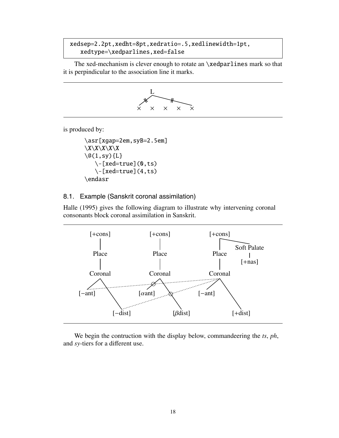# xedsep=2.2pt,xedht=8pt,xedratio=.5,xedlinewidth=1pt, xedtype=\xedparlines,xed=false

The xed-mechanism is clever enough to rotate an \xedparlines mark so that it is perpindicular to the association line it marks.



is produced by:

```
\asr[xgap=2em,syB=2.5em]
\langle X \rangle X\langle X \rangle\setminus@(1,sy){L}
    \{-[xed=true](0,ts)\}\setminus-[xed=true](4,ts)
\endasr
```
# 8.1. Example (Sanskrit coronal assimilation)

Halle (1995) gives the following diagram to illustrate why intervening coronal consonants block coronal assimilation in Sanskrit.



We begin the contruction with the display below, commandeering the *ts*, *ph*, and *sy*-tiers for a different use.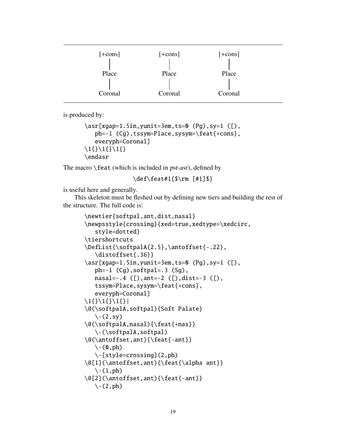| $[+cons]$ | $[+cons]$ | $[+cons]$ |  |
|-----------|-----------|-----------|--|
| Place     | Place     | Place     |  |
|           |           |           |  |
| Coronal   | Coronal   | Coronal   |  |

is produced by:

```
\asr[xgap=1.5in,yunit=3em,ts=0 (Pg),sy=1 ([),
   ph=-1 (Cg), tssym=Place, sysym=\feat{+cons},
   everyph=Coronal]
\1{\} \1{\} \1{\}\endasr
```
The macro  $\text{Test}$  (which is included in *pst-asr*), defined by

\def\feat#1{\$\rm [#1]\$}

is useful here and generally.

This skeleton must be fleshed out by defining new tiers and building the rest of the structure. The full code is:

```
\newtier{softpal,ant,dist,nasal}
\newpsstyle{crossing}{xed=true,xedtype=\xedcirc,
   style=dotted}
\tiershortcuts
\DefList{\softpalA{2.5},\antoffset{-.22},
   \distoffset{.36}}
\asr[xgap=1.5in,yunit=3em,ts=0 (Pg),sy=1 ([),
   ph=-1 (Cg), softpal=.3 (Sg),
   nasal=-.4 ([),ant=-2 ([),dist=-3 ([),
   tssym=Place,sysym=\feat{+cons},
   everyph=Coronal]
\1{\} \1{\} \1{\}\@(\softpalA,softpal){Soft Palate}
   \setminus-(2, sy)\@(\softpalA,nasal){\feat{+nas}}
   \-(\softpalA,softpal)
\@(\antoffset,ant){\feat{-ant}}
   \setminus - (0, ph)
   \-[style=crossing](2,ph)
\@[1](\antoffset,ant){\feat{\alpha ant}}
   \setminus-(1,ph)\@[2](\antoffset,ant){\feat{-ant}}
   \setminus-(2,ph)
```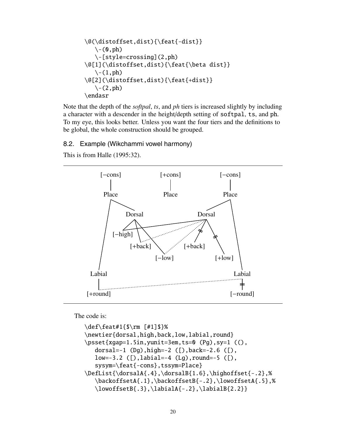\@(\distoffset,dist){\feat{-dist}} \-(0,ph) \-[style=crossing](2,ph) \@[1](\distoffset,dist){\feat{\beta dist}} \-(1,ph) \@[2](\distoffset,dist){\feat{+dist}} \-(2,ph) \endasr

Note that the depth of the *softpal*, *ts*, and *ph* tiers is increased slightly by including a character with a descender in the height/depth setting of softpal, ts, and ph. To my eye, this looks better. Unless you want the four tiers and the definitions to be global, the whole construction should be grouped.

# 8.2. Example (Wikchammi vowel harmony)

This is from Halle (1995:32).



The code is:

```
\def\feat#1{$\rm [#1]$}%
\newtier{dorsal,high,back,low,labial,round}
\psset{xgap=1.5in,yunit=3em,ts=0 (Pg),sy=1 ((),
   dorsal=-1 (Dg),high=-2 ([),back=-2.6 ([),
   low=-3.2 ([),labial=-4 (Lg),round=-5 ([),
   sysym=\feat{-cons},tssym=Place}
\DefList{\dorsalA{.4},\dorsalB{1.6},\highoffset{-.2},%
   \backoffsetA{.1},\backoffsetB{-.2},\lowoffsetA{.5},%
   \lowoffsetB{.3},\labialA{-.2},\labialB{2.2}}
```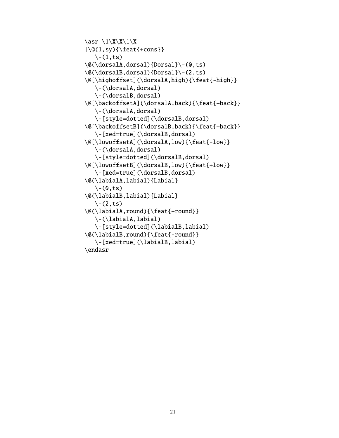```
\ar \1\X\1\X\{\@(1, sy)\{\text{feat}\}-\text{cons}\}\\setminus-(1,ts)\@(\dorsalA,dorsal){Dorsal}\-(0,ts)
\@(\dorsalB,dorsal){Dorsal}\-(2,ts)
\@[\highoffset](\dorsalA,high){\feat{-high}}
   \-(\dorsalA,dorsal)
   \-(\dorsalB,dorsal)
\@[\backoffsetA](\dorsalA,back){\feat{+back}}
   \-(\dorsalA,dorsal)
   \-[style=dotted](\dorsalB,dorsal)
\@[\backoffsetB](\dorsalB,back){\feat{+back}}
   \-[xed=true](\dorsalB,dorsal)
\@[\lowoffsetA](\dorsalA,low){\feat{-low}}
   \-(\dorsalA,dorsal)
   \-[style=dotted](\dorsalB,dorsal)
\@[\lowoffsetB](\dorsalB,low){\feat{+low}}
   \-[xed=true](\dorsalB,dorsal)
\@(\labialA,labial){Labial}
   \setminus-(0, ts)\@(\labialB,labial){Labial}
   \setminus-(2, ts)\@(\labialA,round){\feat{+round}}
   \-(\labialA,labial)
   \-[style=dotted](\labialB,labial)
\@(\labialB,round){\feat{-round}}
   \-[xed=true](\labialB,labial)
\endasr
```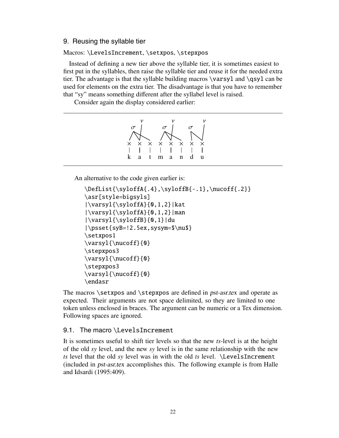# 9. Reusing the syllable tier

#### Macros: \LevelsIncrement, \setxpos, \stepxpos

Instead of defining a new tier above the syllable tier, it is sometimes easiest to first put in the syllables, then raise the syllable tier and reuse it for the needed extra tier. The advantage is that the syllable building macros \varsyl and \qsyl can be used for elements on the extra tier. The disadvantage is that you have to remember that "sy" means something different after the syllabel level is raised.

Consider again the display considered earlier:

|  | ×. | $\times$ | $\times$ | ×. | $\times$ |
|--|----|----------|----------|----|----------|
|  |    |          |          |    |          |
|  |    |          | a        | n  | n        |

An alternative to the code given earlier is:

```
\DefList{\syloffA{.4},\syloffB{-.1},\nucoff{.2}}
\asr[style=bigsyls]
|\varsyl{\syloffA}{0,1,2}|kat
|\varnsyl{\syloffA}{0,1,2}\rangle|\varsyl{\syloffB}{0,1}|du
|\psset{syB=!2.5ex,sysym=$\nu$}
\setxpos1
\varsyl{\nucoff}{0}
\stepxpos3
\varsyl{\nucoff}{0}
\stepxpos3
\varsyl{\nucoff}{0}
\endasr
```
The macros \setxpos and \stepxpos are defined in *pst-asr.tex* and operate as expected. Their arguments are not space delimited, so they are limited to one token unless enclosed in braces. The argument can be numeric or a Tex dimension. Following spaces are ignored.

# 9.1. The macro \LevelsIncrement

It is sometimes useful to shift tier levels so that the new *ts*-level is at the height of the old *sy* level, and the new *sy* level is in the same relationship with the new *ts* level that the old *sy* level was in with the old *ts* level. \LevelsIncrement (included in pst-asr.tex accomplishes this. The following example is from Halle and Idsardi (1995:409).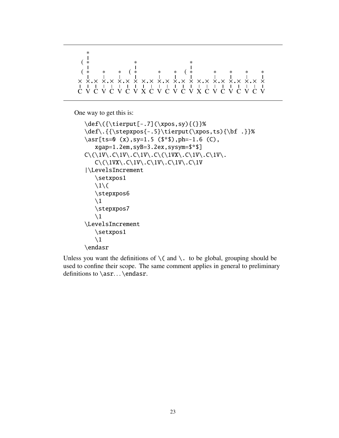C × ( ∗ V ×**.** C × ∗ V ×**.** C × ∗ V ×**.** C × ( ∗ V × X ×**.** C × ∗ V ×**.** C × ∗ V ×**.** C × ( ∗ V × X ×**.** C × ∗ V ×**.** C × ∗ V ×**.** C × ∗ V ×**.** C × ∗ V × ( ∗ ∗ ∗ ∗

One way to get this is:

```
\def\({\tierput[-.7](\xpos,sy){(}}%
\def\.{{\stepxpos{-.5}\tierput(\xpos,ts){\bf .}}%
\ar[ts=0 (x), sy=1.5 ( \pm 0, ph=-1.6 (C),xgap=1.2em,syB=3.2ex,sysym=$*$]
C\(\U1V\.\C\1V\.\C\1V\.\C\1V\.\C\1VX\.\C\1V\.\C\1V\.\C\1V\.\C\1V\.\C\1V\.\C\1V\.\C\1V\.\C\1V\.\C\1V\.\C\1V\.\C\1V\.\C\1V\.\C\1V\.\C\1V\.\C\1V\.\C\1V\.\C\1V\.\C\1V\.\C\1V\.\C\1V\.\C\1V\.\C\1V\.\C\1V\.\C\1V\.\C\1V\.\C\1V\.\C\1V\.\C\1V\.\C\1V\.\C\1V\.\C\1V\.\CC\setminus (\1VX\setminus C\1V\setminus C\1V\setminus C\1V\setminus C\1V|\LevelsIncrement
      \setxpos1
      \backslash1\backslash(
      \stepxpos6
      \setminus1
      \stepxpos7
      \setminus1
\LevelsIncrement
      \setxpos1
      \setminus1
\endasr
```
Unless you want the definitions of  $\setminus$  (and  $\setminus$ . to be global, grouping should be used to confine their scope. The same comment applies in general to preliminary definitions to \asr... \endasr.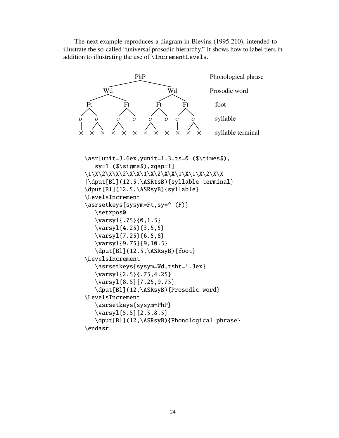The next example reproduces a diagram in Blevins (1995:210), intended to illustrate the so-called "universal prosodic hierarchy." It shows how to label tiers in addition to illustrating the use of \IncrementLevels.

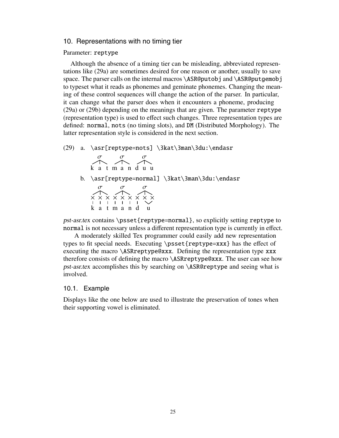#### 10. Representations with no timing tier

#### Parameter: reptype

Although the absence of a timing tier can be misleading, abbreviated representations like (29a) are sometimes desired for one reason or another, usually to save space. The parser calls on the internal macros \ASR@putobj and \ASR@putgemobj to typeset what it reads as phonemes and geminate phonemes. Changing the meaning of these control sequences will change the action of the parser. In particular, it can change what the parser does when it encounters a phoneme, producing (29a) or (29b) depending on the meanings that are given. The parameter reptype (representation type) is used to effect such changes. Three representation types are defined: normal, nots (no timing slots), and DM (Distributed Morphology). The latter representation style is considered in the next section.

(29) a. \asr[reptype=nots] \3kat\3man\3du:\endasr

| $\sigma$ and $\sigma$ | $\sigma$ and $\sigma$           | $\sigma$ |  |  |
|-----------------------|---------------------------------|----------|--|--|
|                       | $\triangle \sim \triangle \sim$ |          |  |  |
|                       | katmanduu                       |          |  |  |

b. \asr[reptype=normal] \3kat\3man\3du:\endasr

| $\sigma$ |                         | $\sigma$ |  | $\sigma$   |  |
|----------|-------------------------|----------|--|------------|--|
|          | $\land$ $\land$ $\land$ |          |  |            |  |
|          | x x x x x x x x x       |          |  |            |  |
|          | 1111111                 |          |  | $\searrow$ |  |
|          | katmandu                |          |  |            |  |

pst-asr.tex contains \psset{reptype=normal}, so explicitly setting reptype to normal is not necessary unless a different representation type is currently in effect.

A moderately skilled Tex programmer could easily add new representation types to fit special needs. Executing \psset{reptype=xxx} has the effect of executing the macro \ASRreptype@xxx. Defining the representation type xxx therefore consists of defining the macro \ASRreptype@xxx. The user can see how pst-asr.tex accomplishes this by searching on \ASR@reptype and seeing what is involved.

#### 10.1. Example

Displays like the one below are used to illustrate the preservation of tones when their supporting vowel is eliminated.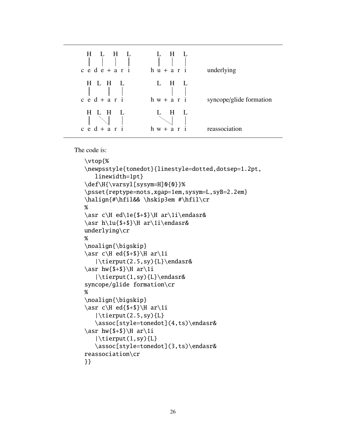

The code is:

```
\vtop{%
\newpsstyle{tonedot}{linestyle=dotted,dotsep=1.2pt,
   linewidth=1pt}
\def\H{\varsyl[sysym=H]0{0}}%
\psset{reptype=nots,xgap=1em,sysym=L,syB=2.2em}
\halign{#\hfil&& \hskip3em #\hfil\cr
%
\asr c\H ed\1e{$+$}\H ar\1i\endasr&
\asr h\1u{$+$}\H ar\1i\endasr&
underlying\cr
%
\noalign{\bigskip}
\ar c\H ed{$+$}\H ar\1i
   |\tierput(2.5,sy){L}\endasr&
\ar hw{$+$}\H ar\1i
   |\tierput(1,sy){L}\endasr&
syncope/glide formation\cr
%
\noalign{\bigskip}
\ar c\H ed{$+$}\H ar\1i
   |\tierput(2.5,sy){L}
   \assoc[style=tonedot](4,ts)\endasr&
\ar hw{$+$}\H ar\1i
   |\tierput(1,sy){L}
   \assoc[style=tonedot](3,ts)\endasr&
reassociation\cr
}}
```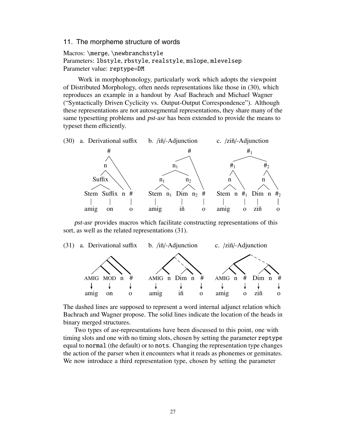#### 11. The morpheme structure of words

Macros: \merge, \newbranchstyle Parameters: lbstyle, rbstyle, realstyle, mslope, mlevelsep Parameter value: reptype=DM

Work in morphophonology, particularly work which adopts the viewpoint of Distributed Morphology, often needs representations like those in (30), which reproduces an example in a handout by Asaf Bachrach and Michael Wagner ("Syntactically Driven Cyclicity vs. Output-Output Correspondence"). Although these representations are not autosegmental representations, they share many of the same typesetting problems and pst-asr has been extended to provide the means to typeset them efficiently.



pst-asr provides macros which facilitate constructing representations of this sort, as well as the related representations (31).



The dashed lines are supposed to represent a word internal adjunct relation which Bachrach and Wagner propose. The solid lines indicate the location of the heads in binary merged structures.

Two types of asr-representations have been discussed to this point, one with timing slots and one with no timing slots, chosen by setting the parameter reptype equal to normal (the default) or to nots. Changing the representation type changes the action of the parser when it encounters what it reads as phonemes or geminates. We now introduce a third representation type, chosen by setting the parameter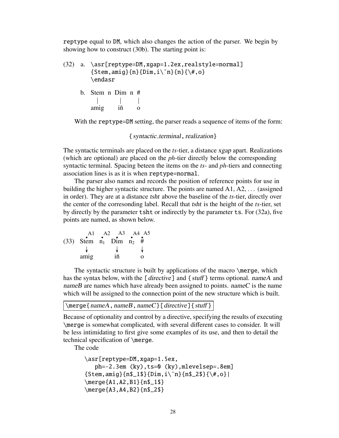reptype equal to DM, which also changes the action of the parser. We begin by showing how to construct (30b). The starting point is:

```
(32) a. \asr[reptype=DM,xgap=1.2ex,realstyle=normal]
         {Stem, amid}_{n}{Dim, i\^n}{n}{\{\n\}\{\n\}\n, o\}\endasr
```
b. Stem n Dim n # amig iñ o

With the reptype=DM setting, the parser reads a sequence of items of the form:

#### { syntactic\_terminal, realization }

The syntactic terminals are placed on the *ts*-tier, a distance xgap apart. Realizations (which are optional) are placed on the *ph*-tier directly below the corresponding syntactic terminal. Spacing beteen the items on the *ts*- and *ph*-tiers and connecting association lines is as it is when reptype=normal.

The parser also names and records the position of reference points for use in building the higher syntactic structure. The points are named A1, A2, ... (assigned in order). They are at a distance tsht above the baseline of the *ts*-tier, directly over the center of the corresonding label. Recall that tsht is the height of the *ts*-tier, set by directly by the parameter tsht or indirectly by the parameter ts. For (32a), five points are named, as shown below.

| A1                          | A2 A3 A4 A5 |  |
|-----------------------------|-------------|--|
| (33) Stem $n_1$ Dim $n_2$ # |             |  |
|                             |             |  |
| amig                        | iñ          |  |

The syntactic structure is built by applications of the macro \merge, which has the syntax below, with the [directive] and {stuff} terms optional. nameA and nameB are names which have already been assigned to points. nameC is the name which will be assigned to the connection point of the new structure which is built.

```
\merge{nameA,nameB,nameC}[directive]{stuff }
```
Because of optionality and control by a directive, specifying the results of executing \merge is somewhat complicated, with several different cases to consider. It will be less intimidating to first give some examples of its use, and then to detail the technical specification of \merge.

The code

```
\asr[reptype=DM,xgap=1.5ex,
   ph=-2.3em (ky),ts=0 (ky),mlevelsep=.8em]
{Stem, a mig}{n$_1$}{}_{Dim, i\Tn}{}_{n$_2$}{}_{\*, o}\merge{A1,A2,B1}{n$_1$}
\merge{A3,A4,B2}{n$_2$}
```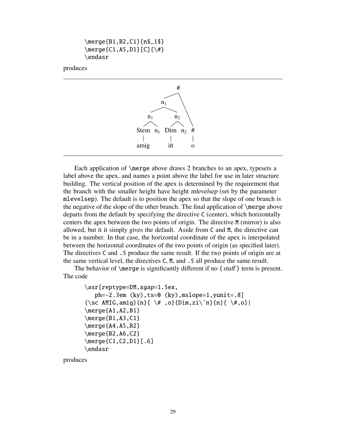```
\merge{B1,B2,C1}{n$_1$}
\langle (C1, A5, D1 } [C] \{\ \# \}\endasr
```
#### produces



Each application of \merge above draws 2 branches to an apex, typesets a label above the apex, and names a point above the label for use in later structure building. The vertical position of the apex is determined by the requirement that the branch with the smaller height have height mlevelsep (set by the parameter mlevelsep). The default is to position the apex so that the slope of one branch is the negative of the slope of the other branch. The final application of \merge above departs from the default by specifying the directive C (center), which horizontally centers the apex between the two points of origin. The directive M (mirror) is also allowed, but it it simply gives the default. Aside from C and M, the directive can be in a number. In that case, the horizontal coordinate of the apex is interpolated between the horizontal coordinates of the two points of origin (as specified later). The directives C and .5 produce the same result. If the two points of origin are at the same vertical level, the directives C, M, and .5 all produce the same result.

The behavior of  $\langle \text{merge} \rangle$  is significantly different if no {stuff} term is present. The code

```
\asr[reptype=DM,xgap=1.5ex,
   ph=-2.3em (ky),ts=0 (ky),mslope=1,yunit=.8]
\{\setminussc AMIG,amig}\{n\}{ \setminus#,o}\{Dim,zi\\tilde{n}\{ \setminus#,o}|
\text{Merge}\A1, A2, B1}
\text{Rege{B1, A3, C1}}\text{Merge}\A4, A5, B2}
\merge{B2,A6,C2}
\merge{C1,C2,D1}[.6]
\endasr
```
produces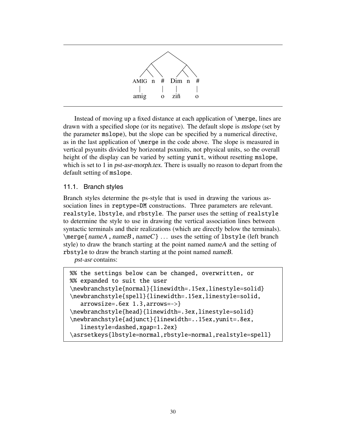

Instead of moving up a fixed distance at each application of \merge, lines are drawn with a specified slope (or its negative). The default slope is mslope (set by the parameter mslope), but the slope can be specified by a numerical directive, as in the last application of \merge in the code above. The slope is measured in vertical psyunits divided by horizontal psxunits, not physical units, so the overall height of the display can be varied by setting yunit, without resetting mslope, which is set to 1 in *pst-asr-morph.tex*. There is usually no reason to depart from the default setting of mslope.

# 11.1. Branch styles

Branch styles determine the ps-style that is used in drawing the various association lines in reptype=DM constructions. Three parameters are relevant. realstyle, lbstyle, and rbstyle. The parser uses the setting of realstyle to determine the style to use in drawing the vertical association lines between syntactic terminals and their realizations (which are directly below the terminals).  $\langle nameA, nameB, nameC \}$ ... uses the setting of lbstyle (left branch style) to draw the branch starting at the point named nameA and the setting of rbstyle to draw the branch starting at the point named nameB.

pst-asr contains:

```
%% the settings below can be changed, overwritten, or
%% expanded to suit the user
\newbranchstyle{normal}{linewidth=.15ex,linestyle=solid}
\newbranchstyle{spell}{linewidth=.15ex,linestyle=solid,
   arrowsize=.6ex 1.3,arrows=->}
\newbranchstyle{head}{linewidth=.3ex,linestyle=solid}
\newbranchstyle{adjunct}{linewidth=..15ex,yunit=.8ex,
   linestyle=dashed,xgap=1.2ex}
\asrsetkeys{lbstyle=normal,rbstyle=normal,realstyle=spell}
```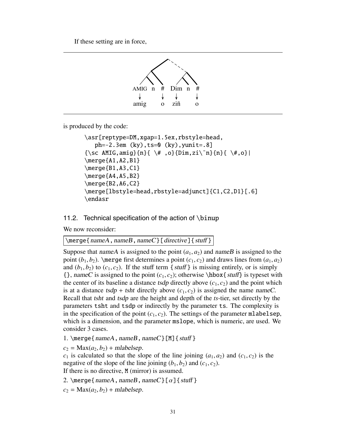If these setting are in force,



is produced by the code:

```
\asr[reptype=DM,xgap=1.5ex,rbstyle=head,
   ph=-2.3em (ky),ts=0 (ky),yunit=.8]
\{\setminussc AMIG,amig}\{n\}{ \#,o}\{Dim,zi\^n\}{ \sharp,o}|
\text{Merge}\A1, A2, B1}
\text{Rege{B1, A3, C1}}\merge{A4,A5,B2}
\text{Merge}{B2,A6,C2}
\merge[lbstyle=head,rbstyle=adjunct]{C1,C2,D1}[.6]
\endasr
```
# 11.2. Technical specification of the action of \binup

We now reconsider:

\merge{nameA,nameB,nameC}[directive]{stuff}

Suppose that nameA is assigned to the point  $(a_1, a_2)$  and nameB is assigned to the point  $(b_1, b_2)$ . \merge first determines a point  $(c_1, c_2)$  and draws lines from  $(a_1, a_2)$ and  $(b_1, b_2)$  to  $(c_1, c_2)$ . If the stuff term {stuff} is missing entirely, or is simply  $\{\}$ , nameC is assigned to the point  $(c_1, c_2)$ ; otherwise \hbox{stuff} is typeset with the center of its baseline a distance tsdp directly above  $(c_1, c_2)$  and the point which is at a distance tsdp + tsht directly above  $(c_1, c_2)$  is assigned the name nameC. Recall that tsht and tsdp are the height and depth of the *ts*-tier, set directly by the parameters tsht and tsdp or indirectly by the parameter ts. The complexity is in the specification of the point  $(c_1, c_2)$ . The settings of the parameter mlabelsep, which is a dimension, and the parameter mslope, which is numeric, are used. We consider 3 cases.

1. \merge{nameA,nameB,nameC}[M]{stuff}

 $c_2 = Max(a_2, b_2) + malabelsep.$ 

 $c_1$  is calculated so that the slope of the line joining  $(a_1, a_2)$  and  $(c_1, c_2)$  is the negative of the slope of the line joining  $(b_1, b_2)$  and  $(c_1, c_2)$ . If there is no directive, M (mirror) is assumed.

2. \merge{nameA,nameB,nameC}[ $\alpha$ ]{stuff}

 $c_2 = Max(a_2, b_2) + malabelsep.$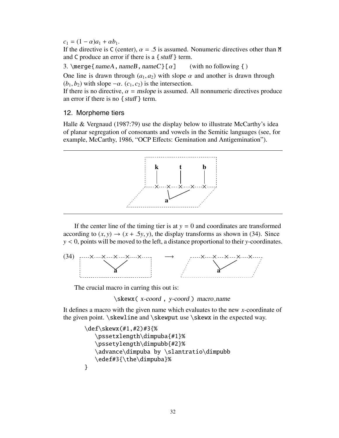$c_1 = (1 - \alpha)a_1 + \alpha b_1.$ 

If the directive is C (center),  $\alpha = .5$  is assumed. Nonumeric directives other than M and C produce an error if there is a  $\{ \text{ stuff} \}$  term.

3. \merge{nameA, nameB, nameC}[ $\alpha$ ] (with no following { )

One line is drawn through  $(a_1, a_2)$  with slope  $\alpha$  and another is drawn through  $(b_1, b_2)$  with slope  $-\alpha$ .  $(c_1, c_2)$  is the intersection.

If there is no directive,  $\alpha$  = mslope is assumed. All nonnumeric directives produce an error if there is no  $\{ \text{stuff} \}$  term.

# 12. Morpheme tiers

Halle & Vergnaud (1987:79) use the display below to illustrate McCarthy's idea of planar segregation of consonants and vowels in the Semitic languages (see, for example, McCarthy, 1986, "OCP Effects: Gemination and Antigemination").



If the center line of the timing tier is at  $y = 0$  and coordinates are transformed according to  $(x, y) \rightarrow (x + .5y, y)$ , the display transforms as shown in (34). Since *y* < 0, points will be moved to the left, a distance proportional to their *y*-coordinates.



The crucial macro in carring this out is:

\skewx( x-coord , y-coord ) macro name

It defines a macro with the given name which evaluates to the new *x*-coordinate of the given point. \skewline and \skewput use \skewx in the expected way.

```
\def\skewx(#1,#2)#3{%
   \pssetxlength\dimpuba{#1}%
   \pssetylength\dimpubb{#2}%
   \advance\dimpuba by \slantratio\dimpubb
   \edef#3{\the\dimpuba}%
}
```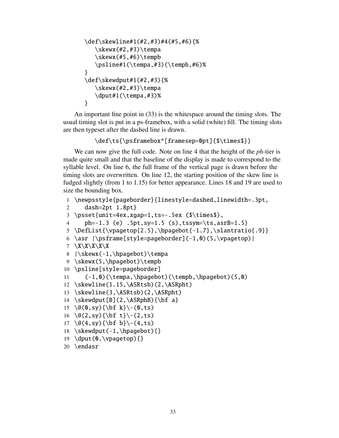```
\def\skewline#1(#2,#3)#4(#5,#6){%
   \skewx(#2,#3)\tempa\text{skewx}(\#5, \#6) \tempb
   \psline#1(\tempa,#3)(\tempb,#6)%
}
\def\skewdput#1(#2,#3){%
   \skewx(#2,#3)\tempa
   \dput#1(\tempa,#3)%
}
```
An important fine point in (33) is the whitespace around the timing slots. The usual timing slot is put in a ps-framebox, with a solid (white) fill. The timing slots are then typeset after the dashed line is drawn.

```
\def\ts{\psframebox*[framesep=0pt]{$\times$}}
```
We can now give the full code. Note on line 4 that the height of the *ph*-tier is made quite small and that the baseline of the display is made to correspond to the syllable level. On line 6, the full frame of the vertical page is drawn before the timing slots are overwritten. On line 12, the starting position of the skew line is fudged slightly (from 1 to 1.15) for better appearance. Lines 18 and 19 are used to size the bounding box.

```
1 \newpsstyle{pageborder}{linestyle=dashed,linewidth=.3pt,
2 dash=2pt 1.8pt}
3 \psset{unit=4ex,xgap=1,ts=-.5ex ($\times$),
4 ph=-1.3 (e) .5pt,sy=1.5 (s),tssym=\ts,asrB=1.5}
5 \DefList{\vpagetop{2.5},\hpagebot{-1.7},\slantratio{.9}}
6 \asr |\psi(s,t)| = \text{pageborder}( -1, 0) (5, \vpagetop)7 \X\X\X\X\X
8 |\skewx(-1,\hpagebot)\tempa
9 \skewx(5,\hpagebot)\tempb
10 \psline[style=pageborder]
11 (-1,0)(\tempa,\hpagebot)(\tempb,\hpagebot)(5,0)12 \skewline(1.15,\ASRtsb)(2,\ASRpht)
13 \skewline(3,\ASRtsb)(2,\ASRpht)
14 \skewdput[B](2,\ASRphB){\bf a}
15 \@(0,sy){\bf k}\-(0,ts)
16 \@(2,sy){\bf t}\-(2,ts)
17 \@(4,sy){\bf b}\-(4,ts)
18 \skewdput(-1,\hpagebot){}
19 \dput(0,\vpagetop){}
```

```
20 \endasr
```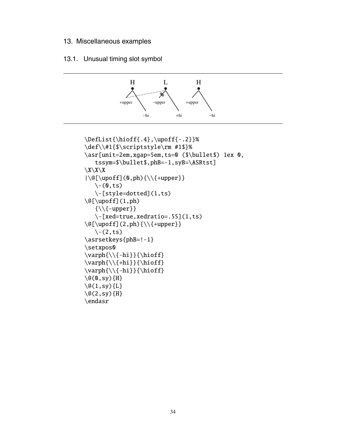# 13. Miscellaneous examples

# 13.1. Unusual timing slot symbol



```
\DefList{\hioff{.4},\upoff{-.2}}%
\def\\#1{$\scriptstyle\rm #1$}%
\asr[unit=2em,xgap=5em,ts=0 ($\bullet$) 1ex 0,
      tssym=$\bullet$,phB=-1,syB=\ASRtst]
X\backslash X\backslash X|\Q[\cup\{0,ph\}\}\\setminus-(0, ts)\-[style=dotted](1,ts)
\Q[\cup\text{f}](1, \text{ph})\{\setminus\{\text{-upper}\}\}\\{-[xed=true, xedratio=.55](1,ts)\}\Q[\cup\{2,ph\}\{\setminus\{\text{+upper}\}\\langle-(2,ts)\asrsetkeys{phB=!-1}
\setxpos0
\varphi{\{\{\hspace{-0.5mm}\over\hspace{-0.5mm}1\}}{\hspace{-0.5mm}\overline{\hspace{-0.5mm}\overline{\hspace{-0.5mm}t}}\}}\varphi{\{\hbar i\}}{\hbar off}\varphi\{\{\hat{-hi}\}\{\hat{f}\}\\qquad \qquad \qquad \qquad \qquad \qquad \qquad \qquad \qquad \qquad \qquad \qquad \qquad \qquad \qquad \qquad \qquad \qquad \qquad \qquad \qquad \qquad \qquad \qquad \qquad \qquad \qquad \qquad \qquad \qquad \qquad \qquad \qquad \qquad \qquad \qquad \qquad\setminus@(1,sy){L}
\qquad (2, sy){H}
\endasr
```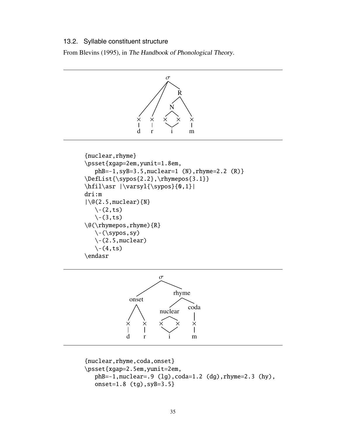#### 13.2. Syllable constituent structure

From Blevins (1995), in The Handbook of Phonological Theory.





```
{nuclear,rhyme,coda,onset}
\psset{xgap=2.5em,yunit=2em,
  phB=-1,nuclear=.9 (lg),coda=1.2 (dg),rhyme=2.3 (hy),
  onset=1.8 (tg),syB=3.5}
```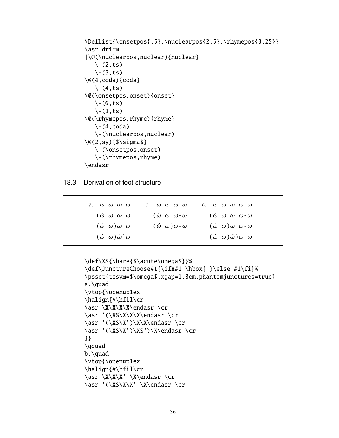```
\DefList{\onsetpos{.5},\nuclearpos{2.5},\rhymepos{3.25}}
\asr dri:m
|\@(\nuclearpos,nuclear){nuclear}
   \setminus-(2, ts)\setminus-(3, ts)\qquad (4, coda) {coda}
   \setminus-(4, ts)\@(\onsetpos,onset){onset}
   \setminus-(0, ts)\setminus-(1, ts)\@(\rhymepos,rhyme){rhyme}
   \setminus-(4, \text{coda})\-(\nuclearpos,nuclear)
\Q(2, sy){$\sigma$}
   \-(\onsetpos,onset)
   \-\( \rhymepos, rhyme)\endasr
```
13.3. Derivation of foot structure

| a. $\omega$ $\omega$ $\omega$ $\omega$ | b. $\omega$ $\omega$ $\omega$ - $\omega$ | C. $\omega$ $\omega$ $\omega$ $\omega$ - $\omega$ |
|----------------------------------------|------------------------------------------|---------------------------------------------------|
| $(\omega \omega \omega \omega)$        | $(\omega \omega \omega - \omega)$        | $(\omega \omega \omega \omega - \omega)$          |
| $(\omega \omega) \omega \omega$        | $(\omega \omega) \omega - \omega$        | $(\omega \omega) \omega \omega - \omega$          |
| $(\omega \omega) \dot{\omega}) \omega$ |                                          | $(\omega \omega) \omega \omega - \omega$          |

```
\def\XS{\bare{$\acute\omega$}}%
\def\JunctureChoose#1{\ifx#1-\hbox{-}\else #1\fi}%
\psset{tssym=$\omega$,xgap=1.3em,phantomjunctures=true}
a.\quad
\vtop{\openup1ex
\halign{#\hfil\cr
\asr \X\X\X\X\endasr \cr
\asr '(\XS\X\X\X\endasr \cr
\asr '(\XS\X')\X\X\endasr \cr
\ar'(\XS\X')\XS')\X\endasr \cr
}}
\qquad
b.\quad
\vtop{\openup1ex
\halign{#\hfil\cr
\ar \X\X'\-\X\endasr \cr\ar '(\XS\X' - \X\endasr \cr'
```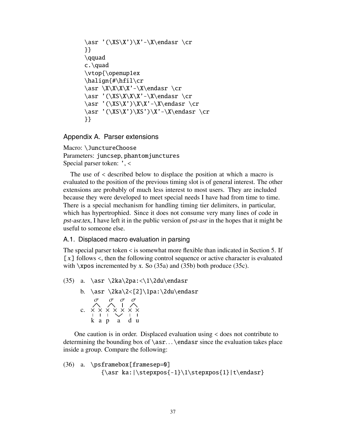```
\asr '(\XS\X')\X'-\X\endasr \cr
}}
\qquad
c.\quad
\vtop{\openup1ex
\halign{#\hfil\cr
\ar \X\X\X'\-\X\endasr \cr\ar'(\XS\X\X'\-\X\endasr \cr\ar'(\XS\X')\X\X'-\X\endasr \cr\asr '(\XS\X')\XS')\X'-\X\endasr \cr
}}
```
Appendix A. Parser extensions

Macro: \JunctureChoose Parameters: juncsep, phantomjunctures Special parser token: ', <

The use of < described below to displace the position at which a macro is evaluated to the position of the previous timing slot is of general interest. The other extensions are probably of much less interest to most users. They are included because they were developed to meet special needs I have had from time to time. There is a special mechanism for handling timing tier delimiters, in particular, which has hypertrophied. Since it does not consume very many lines of code in pst-asr.tex, I have left it in the public version of pst-asr in the hopes that it might be useful to someone else.

A.1. Displaced macro evaluation in parsing

The special parser token  $\lt$  is somewhat more flexible than indicated in Section 5. If  $[x]$  follows  $\le$ , then the following control sequence or active character is evaluated with  $\x$ pos incremented by x. So (35a) and (35b) both produce (35c).

(35) a. \asr \2ka\2pa:<\1\2du\endasr b. \asr \2ka\2<[2]\1pa:\2du\endasr c. σ k  $\frac{\times}{\cdot}$ a  $\frac{\mathsf{x}}{\mathsf{I}}$ σ p  $\frac{\mathsf{x}}{\mathsf{I}}$ a × × σ σ d  $\frac{\mathsf{x}}{\mathsf{I}}$ u  $\frac{\mathsf{x}}{\mathsf{I}}$ 

One caution is in order. Displaced evaluation using < does not contribute to determining the bounding box of  $\arcsin$ ...  $\end{Bar}$  since the evaluation takes place inside a group. Compare the following:

```
(36) a. \psframebox[framesep=0]
           {\asr ka:|\stepxpos{-1}\1\stepxpos{1}|t\endasr}
```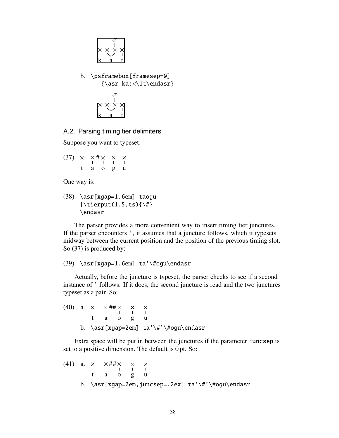

b. \psframebox[framesep=0] {\asr ka:<\1t\endasr}



A.2. Parsing timing tier delimiters

Suppose you want to typeset:

(37) t  $\frac{\mathsf{x}}{\mathsf{I}}$ a  $\times$ # o  $\frac{\mathsf{x}}{\mathsf{I}}$ g  $\frac{\times}{\cdot}$ u  $\frac{\times}{\sqrt{2}}$ 

One way is:

(38) \asr[xgap=1.6em] taogu  $|\text{tireput}(1.5, ts){\#}$ \endasr

The parser provides a more convenient way to insert timing tier junctures. If the parser encounters ', it assumes that a juncture follows, which it typesets midway between the current position and the position of the previous timing slot. So (37) is produced by:

# (39) \asr[xgap=1.6em] ta'\#ogu\endasr

Actually, before the juncture is typeset, the parser checks to see if a second instance of ' follows. If it does, the second juncture is read and the two junctures typeset as a pair. So:

```
(40) a.
                        t
                       \frac{\times}{\cdot}a
                                  \times##
                                             o
                                             \frac{\times}{\cdot}g
                                                        \frac{\mathsf{x}}{\mathsf{y}}u
                                                                   \frac{\mathsf{x}}{\mathsf{I}}b. \asr[xgap=2em] ta'\#'\#ogu\endasr
```
Extra space will be put in between the junctures if the parameter juncsep is set to a positive dimension. The default is 0 pt. So:

(41) a. 
$$
\times
$$
  $\times$   $\times$   $\times$   
\n $\begin{array}{ccccccccc}\n1 & 1 & 1 & 1 & 1 \\
1 & 1 & 0 & g & u\n\end{array}$ \nb.  $\arctan\{xgap=2em, juncsep=.2ex\}$  ta' $\#$ ' $\#$ ogu $\end{array}$ endasr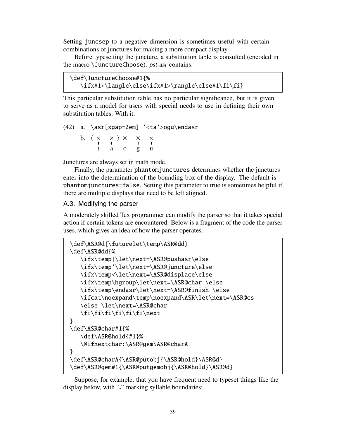Setting juncsep to a negative dimension is sometimes useful with certain combinations of junctures for making a more compact display.

Before typesetting the juncture, a substitution table is consulted (encoded in the macro \JunctureChoose). pst-asr contains:

```
\def\JunctureChoose#1{%
   \ifx#1<\langle\else\ifx#1>\rangle\else#1\fi\fi}
```
This particular substitution table has no particular significance, but it is given to serve as a model for users with special needs to use in defining their own substitution tables. With it:

```
(42) a. \asr[xgap=2em] '<ta'>ogu\endasr
               b. 
                              t
                             \frac{\times}{\cdot}a
                                        × 
                                                    o
                                                    \frac{\mathsf{x}}{\mathsf{I}}g
                                                               \frac{\mathsf{x}}{\mathsf{y}}u
                                                                          \frac{\mathsf{x}}{\mathsf{I}}
```
Junctures are always set in math mode.

Finally, the parameter phantomjunctures determines whether the junctures enter into the determination of the bounding box of the display. The default is phantomjunctures=false. Setting this parameter to true is sometimes helpful if there are multiple displays that need to be left aligned.

# A.3. Modifying the parser

A moderately skilled Tex programmer can modify the parser so that it takes special action if certain tokens are encountered. Below is a fragment of the code the parser uses, which gives an idea of how the parser operates.

```
\def\ASR@d{\futurelet\temp\ASR@dd}
\def\ASR@dd{%
   \ifx\temp|\let\next=\ASR@pushasr\else
   \ifx\temp'\let\next=\ASR@juncture\else
   \ifx\temp<\let\next=\ASR@displace\else
   \ifx\temp\bgroup\let\next=\ASR@char \else
   \ifx\temp\endasr\let\next=\ASR@finish \else
   \ifcat\noexpand\temp\noexpand\ASR\let\next=\ASR@cs
   \else \let\next=\ASR@char
   \fi\fi\fi\fi\fi\fi\next
}
\def\ASR@char#1{%
   \def\ASR@hold{#1}%
   \@ifnextchar:\ASR@gem\ASR@charA
}
\def\ASR@charA{\ASR@putobj{\ASR@hold}\ASR@d}
\def\ASR@gem#1{\ASR@putgemobj{\ASR@hold}\ASR@d}
```
Suppose, for example, that you have frequent need to typeset things like the display below, with "**.**" marking syllable boundaries: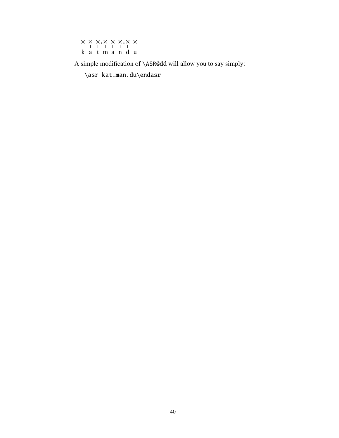|  | 11111111        |  |  |
|--|-----------------|--|--|
|  | k a t m a n d u |  |  |

A simple modification of \ASR@dd will allow you to say simply:

\asr kat.man.du\endasr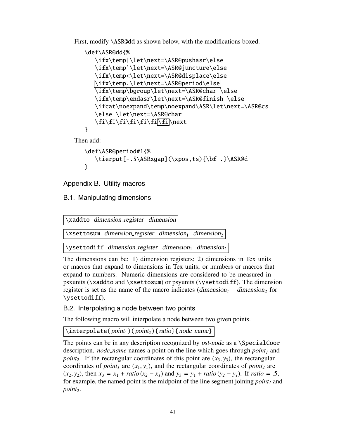First, modify \ASR@dd as shown below, with the modifications boxed.

```
\def\ASR@dd{%
   \ifx\temp|\let\next=\ASR@pushasr\else
   \ifx\temp'\let\next=\ASR@juncture\else
   \ifx\temp<\let\next=\ASR@displace\else
  \ifx\temp.\let\next=\ASR@period\else
   \ifx\temp\bgroup\let\next=\ASR@char \else
   \ifx\temp\endasr\let\next=\ASR@finish \else
   \ifcat\noexpand\temp\noexpand\ASR\let\next=\ASR@cs
   \else \let\next=\ASR@char
   \fi\fi\fi\fi\fi\fi\fi\next
}
```
Then add:

```
\def\ASR@period#1{%
   \tierput[-.5\ASRxqap](\xpos,ts){\bf .}\ASR@d
}
```
Appendix B. Utility macros

B.1. Manipulating dimensions

| \xaddto dimension_register dimension \                                         |
|--------------------------------------------------------------------------------|
| $\xset$ tosum dimension_register dimension <sub>1</sub> dimension <sub>2</sub> |
| \ysettodiff dimension_register dimension <sub>1</sub> dimension <sub>2</sub>   |

The dimensions can be: 1) dimension registers; 2) dimensions in Tex units or macros that expand to dimensions in Tex units; or numbers or macros that expand to numbers. Numeric dimensions are considered to be measured in psxunits (\xaddto and \xsettosum) or psyunits (\ysettodiff). The dimension register is set as the name of the macro indicates (dimension<sub>1</sub> – dimension<sub>2</sub> for \ysettodiff).

B.2. Interpolating a node between two points

The following macro will interpolate a node between two given points.

 $\int_1$ interpolate(point<sub>1</sub>)(point<sub>2</sub>){ratio}{node\_name}

The points can be in any description recognized by *pst-node* as a *\SpecialCoor* description. *node name* names a point on the line which goes through  $point_1$  and *point<sub>2</sub>*. If the rectangular coordinates of this point are  $(x_3, y_3)$ , the rectangular coordinates of *point<sub>1</sub>* are  $(x_1, y_1)$ , and the rectangular coordinates of *point<sub>2</sub>* are  $(x_2, y_2)$ , then  $x_3 = x_1 + \text{ratio}(x_2 - x_1)$  and  $y_3 = y_1 + \text{ratio}(y_2 - y_1)$ . If  $\text{ratio} = .5$ , for example, the named point is the midpoint of the line segment joining  $point_1$  and *point2*.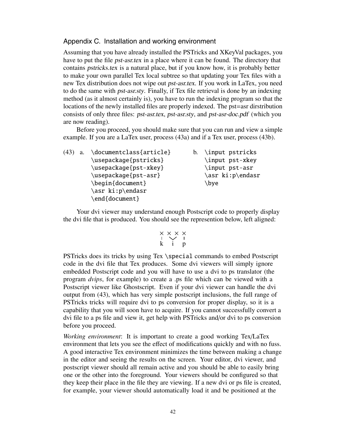# Appendix C. Installation and working environment

Assuming that you have already installed the PSTricks and XKeyVal packages, you have to put the file pst-asr.tex in a place where it can be found. The directory that contains pstricks.tex is a natural place, but if you know how, it is probably better to make your own parallel Tex local subtree so that updating your Tex files with a new Tex distribution does not wipe out pst-asr.tex. If you work in LaTex, you need to do the same with pst-asr.sty. Finally, if Tex file retrieval is done by an indexing method (as it almost certainly is), you have to run the indexing program so that the locations of the newly installed files are properly indexed. The pst=asr dirstribution consists of only three files: pst-asr.tex, pst-asr.sty, and pst-asr-doc.pdf (which you are now reading).

Before you proceed, you should make sure that you can run and view a simple example. If you are a LaTex user, process (43a) and if a Tex user, process (43b).

| (43) | <b>a.</b> | \documentclass{article} | b. \input pstricks |
|------|-----------|-------------------------|--------------------|
|      |           | \usepackage{pstricks}   | \input pst-xkey    |
|      |           | \usepackage{pst-xkey}   | \input pst-asr     |
|      |           | \usepackage{pst-asr}    | \asr ki:p\endasr   |
|      |           | \begin{document}        | \bye               |
|      |           | \asr ki:p\endasr        |                    |
|      |           | \end{document}          |                    |

Your dvi viewer may understand enough Postscript code to properly display the dvi file that is produced. You should see the represention below, left aligned:

$$
\begin{array}{c}\times\hspace{-.2cm} \times \hspace{-.2cm} \times \hspace{-.2cm} \times \hspace{-.2cm} \times \\\hspace{-.2cm} \times \hspace{-.2cm} \cdot \hspace{-.2cm} \cdot \hspace{-.2cm} \cdot \hspace{-.2cm} \cdot \hspace{-.2cm} \cdot \hspace{-.2cm} \end{array}
$$

PSTricks does its tricks by using Tex \special commands to embed Postscript code in the dvi file that Tex produces. Some dvi viewers will simply ignore embedded Postscript code and you will have to use a dvi to ps translator (the program *dvips*, for example) to create a .ps file which can be viewed with a Postscript viewer like Ghostscript. Even if your dvi viewer can handle the dvi output from (43), which has very simple postscript inclusions, the full range of PSTricks tricks will require dvi to ps conversion for proper display, so it is a capability that you will soon have to acquire. If you cannot successfully convert a dvi file to a ps file and view it, get help with PSTricks and/or dvi to ps conversion before you proceed.

*Working environment*: It is important to create a good working Tex/LaTex environment that lets you see the effect of modifications quickly and with no fuss. A good interactive Tex environment minimizes the time between making a change in the editor and seeing the results on the screen. Your editor, dvi viewer, and postscript viewer should all remain active and you should be able to easily bring one or the other into the foreground. Your viewers should be configured so that they keep their place in the file they are viewing. If a new dvi or ps file is created, for example, your viewer should automatically load it and be positioned at the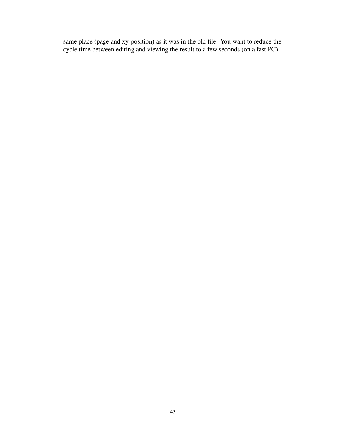same place (page and xy-position) as it was in the old file. You want to reduce the cycle time between editing and viewing the result to a few seconds (on a fast PC).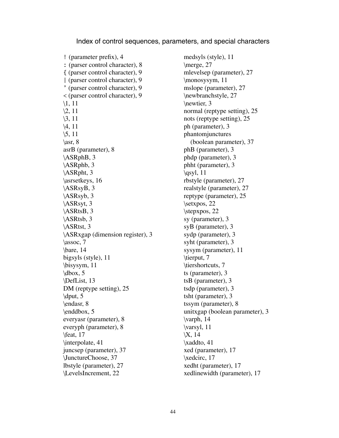#### Index of control sequences, parameters, and special characters

! (parameter prefix), 4 : (parser control character), 8 { (parser control character), 9 | (parser control character), 9 ' (parser control character), 9 < (parser control character), 9 \1, 11  $\sqrt{2}$ , 11 \3, 11 \4, 11 \5, 11  $\ar, 8$ asrB (parameter), 8 \ASRphB, 3 \ASRphb, 3 \ASRpht, 3 \asrsetkeys, 16 \ASRsyB, 3 \ASRsyb, 3 \ASRsyt, 3 \ASRtsB, 3 \ASRtsb, 3 \ASRtst, 3 \ASRxgap (dimension register), 3  $\text{lassoc. 7}$ \bare, 14 bigsyls (style), 11 \bisysym, 11  $\ldots$ , 5 \DefList, 13 DM (reptype setting), 25  $\mathrm{d}$ put, 5 \endasr, 8 \enddbox, 5 everyasr (parameter), 8 everyph (parameter), 8 \feat, 17 \interpolate, 41 juncsep (parameter), 37 \JunctureChoose, 37 lbstyle (parameter), 27 \LevelsIncrement, 22

medsyls (style), 11 \merge, 27 mlevelsep (parameter), 27 \monosysym, 11 mslope (parameter), 27 \newbranchstyle, 27 \newtier, 3 normal (reptype setting), 25 nots (reptype setting), 25 ph (parameter), 3 phantomjunctures (boolean parameter), 37 phB (parameter), 3 phdp (parameter), 3 phht (parameter), 3  $\qquad, 11$ rbstyle (parameter), 27 realstyle (parameter), 27 reptype (parameter), 25 \setxpos, 22 \stepxpos, 22 sy (parameter), 3 syB (parameter), 3 sydp (parameter), 3 syht (parameter), 3 sysym (parameter), 11 \tierput, 7 \tiershortcuts, 7 ts (parameter), 3 tsB (parameter), 3 tsdp (parameter), 3 tsht (parameter), 3 tssym (parameter), 8 unitxgap (boolean parameter), 3 \varph, 14 \varsyl, 11 \X, 14 \xaddto, 41 xed (parameter), 17 \xedcirc, 17 xedht (parameter), 17 xedlinewidth (parameter), 17